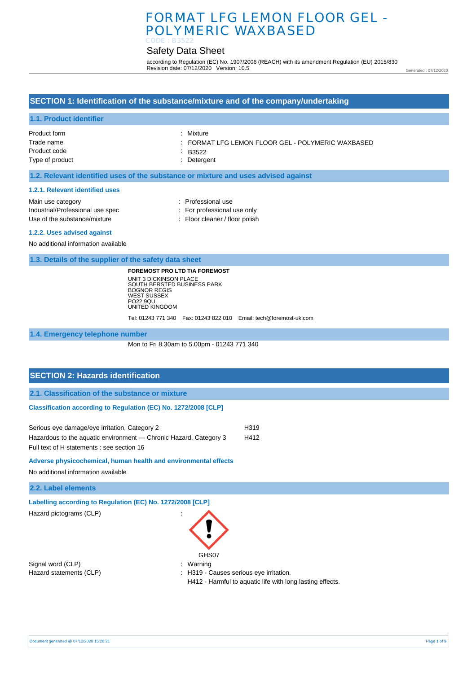# FORMAT LFG LEMON FLOOR GEL - POLYMERIC WAXBASED CODE : B3522

# Safety Data Sheet

according to Regulation (EC) No. 1907/2006 (REACH) with its amendment Regulation (EU) 2015/830 Revision date: 07/12/2020 Version: 10.5

Generated : 07/12/2020

## **SECTION 1: Identification of the substance/mixture and of the company/undertaking**

### **1.1. Product identifier**

| Product form    | : Mixture                                       |
|-----------------|-------------------------------------------------|
| Trade name      | FORMAT LFG LEMON FLOOR GEL - POLYMERIC WAXBASED |
| Product code    | $-B3522$                                        |
| Type of product | : Detergent                                     |
|                 |                                                 |

### **1.2. Relevant identified uses of the substance or mixture and uses advised against**

#### **1.2.1. Relevant identified uses**

| Main use category                | : Professional use             |
|----------------------------------|--------------------------------|
| Industrial/Professional use spec | : For professional use only    |
| Use of the substance/mixture     | : Floor cleaner / floor polish |
| 1.2.2. Uses advised against      |                                |

No additional information available

**1.3. Details of the supplier of the safety data sheet**

**FOREMOST PRO LTD T/A FOREMOST** UNIT 3 DICKINSON PLACE SOUTH BERSTED BUSINESS PARK BOGNOR REGIS WEST SUSSEX PO22 9QU UNITED KINGDOM

Tel: 01243 771 340 Fax: 01243 822 010 Email: tech@foremost-uk.com

**1.4. Emergency telephone number**

Mon to Fri 8.30am to 5.00pm - 01243 771 340

# **SECTION 2: Hazards identification**

**2.1. Classification of the substance or mixture**

### **Classification according to Regulation (EC) No. 1272/2008 [CLP]**

| Serious eye damage/eye irritation, Category 2                     | H319 |
|-------------------------------------------------------------------|------|
| Hazardous to the aquatic environment — Chronic Hazard, Category 3 | H412 |
| Full text of H statements : see section 16                        |      |

#### **Adverse physicochemical, human health and environmental effects**

No additional information available

**2.2. Label elements**

**Labelling according to Regulation (EC) No. 1272/2008 [CLP]** 

Hazard pictograms (CLP) :

Signal word (CLP)  $\qquad \qquad$ : Warning



Hazard statements (CLP)  $\qquad \qquad$ : H319 - Causes serious eye irritation.

H412 - Harmful to aquatic life with long lasting effects.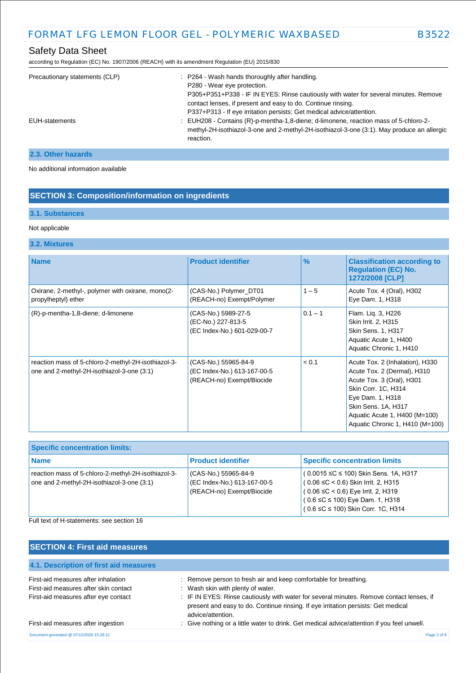according to Regulation (EC) No. 1907/2006 (REACH) with its amendment Regulation (EU) 2015/830

| Precautionary statements (CLP) | : P264 - Wash hands thoroughly after handling.<br>P280 - Wear eye protection.<br>P305+P351+P338 - IF IN EYES: Rinse cautiously with water for several minutes. Remove<br>contact lenses, if present and easy to do. Continue rinsing.<br>P337+P313 - If eye irritation persists: Get medical advice/attention. |
|--------------------------------|----------------------------------------------------------------------------------------------------------------------------------------------------------------------------------------------------------------------------------------------------------------------------------------------------------------|
| EUH-statements                 | : EUH208 - Contains (R)-p-mentha-1,8-diene; d-limonene, reaction mass of 5-chloro-2-<br>methyl-2H-isothiazol-3-one and 2-methyl-2H-isothiazol-3-one (3:1). May produce an allergic<br>reaction.                                                                                                                |

# **2.3. Other hazards**

No additional information available

# **SECTION 3: Composition/information on ingredients**

# **3.1. Substances**

### Not applicable

### **3.2. Mixtures**

| <b>Name</b>                                                                                       | <b>Product identifier</b>                                                        | $\frac{9}{6}$ | <b>Classification according to</b><br><b>Regulation (EC) No.</b><br>1272/2008 [CLP]                                                                                                                                               |
|---------------------------------------------------------------------------------------------------|----------------------------------------------------------------------------------|---------------|-----------------------------------------------------------------------------------------------------------------------------------------------------------------------------------------------------------------------------------|
| Oxirane, 2-methyl-, polymer with oxirane, mono(2-<br>propylheptyl) ether                          | (CAS-No.) Polymer_DT01<br>(REACH-no) Exempt/Polymer                              | $1 - 5$       | Acute Tox. 4 (Oral), H302<br>Eye Dam. 1, H318                                                                                                                                                                                     |
| (R)-p-mentha-1,8-diene; d-limonene                                                                | (CAS-No.) 5989-27-5<br>(EC-No.) 227-813-5<br>(EC Index-No.) 601-029-00-7         | $0.1 - 1$     | Flam. Lig. 3, H226<br>Skin Irrit. 2, H315<br><b>Skin Sens. 1, H317</b><br>Aquatic Acute 1, H400<br>Aquatic Chronic 1, H410                                                                                                        |
| reaction mass of 5-chloro-2-methyl-2H-isothiazol-3-<br>one and 2-methyl-2H-isothiazol-3-one (3:1) | (CAS-No.) 55965-84-9<br>(EC Index-No.) 613-167-00-5<br>(REACH-no) Exempt/Biocide | < 0.1         | Acute Tox. 2 (Inhalation), H330<br>Acute Tox. 2 (Dermal), H310<br>Acute Tox. 3 (Oral), H301<br>Skin Corr. 1C, H314<br>Eye Dam. 1, H318<br>Skin Sens. 1A, H317<br>Aquatic Acute 1, H400 (M=100)<br>Aquatic Chronic 1, H410 (M=100) |

| <b>Specific concentration limits:</b>                                                             |                                                                                  |                                                                                                                                                                                                                           |  |
|---------------------------------------------------------------------------------------------------|----------------------------------------------------------------------------------|---------------------------------------------------------------------------------------------------------------------------------------------------------------------------------------------------------------------------|--|
| l Name                                                                                            | <b>Product identifier</b>                                                        | <b>Specific concentration limits</b>                                                                                                                                                                                      |  |
| reaction mass of 5-chloro-2-methyl-2H-isothiazol-3-<br>one and 2-methyl-2H-isothiazol-3-one (3:1) | (CAS-No.) 55965-84-9<br>(EC Index-No.) 613-167-00-5<br>(REACH-no) Exempt/Biocide | $(0.0015 \leq C \leq 100)$ Skin Sens. 1A, H317<br>$(0.06 ≤ C < 0.6)$ Skin Irrit. 2, H315<br>$(0.06 \leq C < 0.6)$ Eye Irrit. 2, H319<br>$(0.6 \leq C \leq 100)$ Eye Dam. 1, H318<br>$(0.6 ≤ C ≤ 100)$ Skin Corr. 1C, H314 |  |

Full text of H-statements: see section 16

| <b>SECTION 4: First aid measures</b>                                                                                 |                                                                                                                                                                                                                                                                                                             |
|----------------------------------------------------------------------------------------------------------------------|-------------------------------------------------------------------------------------------------------------------------------------------------------------------------------------------------------------------------------------------------------------------------------------------------------------|
| 4.1. Description of first aid measures                                                                               |                                                                                                                                                                                                                                                                                                             |
| First-aid measures after inhalation<br>First-aid measures after skin contact<br>First-aid measures after eye contact | : Remove person to fresh air and keep comfortable for breathing.<br>: Wash skin with plenty of water.<br>: IF IN EYES: Rinse cautiously with water for several minutes. Remove contact lenses, if<br>present and easy to do. Continue rinsing. If eye irritation persists: Get medical<br>advice/attention. |
| First-aid measures after ingestion                                                                                   | : Give nothing or a little water to drink. Get medical advice/attention if you feel unwell.                                                                                                                                                                                                                 |
| Document generated @ 07/12/2020 15:28:21                                                                             | Page 2 of 9                                                                                                                                                                                                                                                                                                 |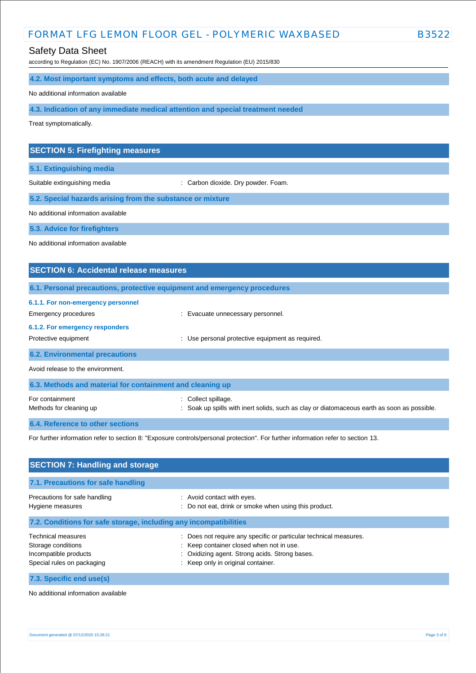# FORMAT LFG LEMON FLOOR GEL - POLYMERIC WAXBASED B3522

# Safety Data Sheet

according to Regulation (EC) No. 1907/2006 (REACH) with its amendment Regulation (EU) 2015/830

### **4.2. Most important symptoms and effects, both acute and delayed**

No additional information available

**4.3. Indication of any immediate medical attention and special treatment needed**

Treat symptomatically.

### **SECTION 5: Firefighting measures**

**5.1. Extinguishing media**

Suitable extinguishing media : Carbon dioxide. Dry powder. Foam.

**5.2. Special hazards arising from the substance or mixture**

No additional information available

**5.3. Advice for firefighters**

No additional information available

# **SECTION 6: Accidental release measures 6.1. Personal precautions, protective equipment and emergency procedures 6.1.1. For non-emergency personnel**  Emergency procedures **Example 2018** Evacuate unnecessary personnel. **6.1.2. For emergency responders**  Protective equipment : Use personal protective equipment as required. **6.2. Environmental precautions** Avoid release to the environment. **6.3. Methods and material for containment and cleaning up** For containment  $\qquad \qquad$ : Collect spillage. Methods for cleaning up example of the spills with inert solids, such as clay or diatomaceous earth as soon as possible. **6.4. Reference to other sections**

For further information refer to section 8: "Exposure controls/personal protection". For further information refer to section 13.

| <b>SECTION 7: Handling and storage</b>                                                          |                                                                                                                                                                                                     |  |
|-------------------------------------------------------------------------------------------------|-----------------------------------------------------------------------------------------------------------------------------------------------------------------------------------------------------|--|
| 7.1. Precautions for safe handling                                                              |                                                                                                                                                                                                     |  |
| Precautions for safe handling<br>Hygiene measures                                               | : Avoid contact with eyes.<br>: Do not eat, drink or smoke when using this product.                                                                                                                 |  |
| 7.2. Conditions for safe storage, including any incompatibilities                               |                                                                                                                                                                                                     |  |
| Technical measures<br>Storage conditions<br>Incompatible products<br>Special rules on packaging | Does not require any specific or particular technical measures.<br>: Keep container closed when not in use.<br>: Oxidizing agent. Strong acids. Strong bases.<br>: Keep only in original container. |  |
| 7.3. Specific end use(s)                                                                        |                                                                                                                                                                                                     |  |

No additional information available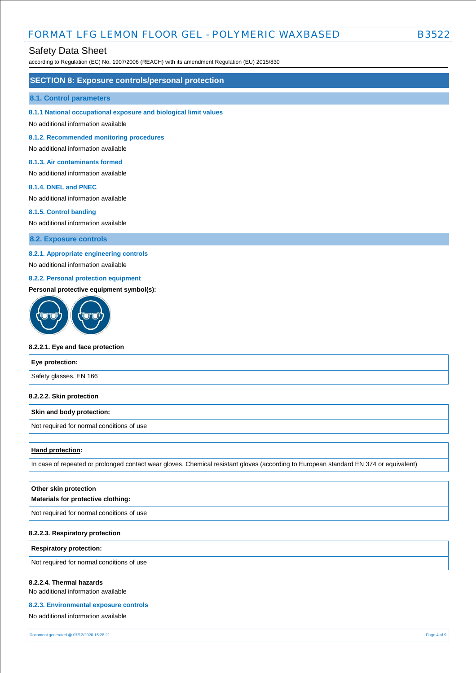# FORMAT LFG LEMON FLOOR GEL - POLYMERIC WAXBASED B352

### Safety Data Sheet

according to Regulation (EC) No. 1907/2006 (REACH) with its amendment Regulation (EU) 2015/830

### **SECTION 8: Exposure controls/personal protection**

#### **8.1. Control parameters**

**8.1.1 National occupational exposure and biological limit values** 

No additional information available

**8.1.2. Recommended monitoring procedures** 

No additional information available

#### **8.1.3. Air contaminants formed**

No additional information available

#### **8.1.4. DNEL and PNEC**

No additional information available

#### **8.1.5. Control banding**

No additional information available

**8.2. Exposure controls**

### **8.2.1. Appropriate engineering controls**

No additional information available

### **8.2.2. Personal protection equipment**

### **Personal protective equipment symbol(s):**



#### **8.2.2.1. Eye and face protection**

# **Eye protection:** Safety glasses. EN 166

#### **8.2.2.2. Skin protection**

#### **Skin and body protection:**

Not required for normal conditions of use

#### **Hand protection:**

In case of repeated or prolonged contact wear gloves. Chemical resistant gloves (according to European standard EN 374 or equivalent)

| Other skin protection<br>Materials for protective clothing: |
|-------------------------------------------------------------|
| Not required for normal conditions of use                   |
|                                                             |

### **8.2.2.3. Respiratory protection**

**Respiratory protection:**

Not required for normal conditions of use

#### **8.2.2.4. Thermal hazards**

No additional information available

#### **8.2.3. Environmental exposure controls**

No additional information available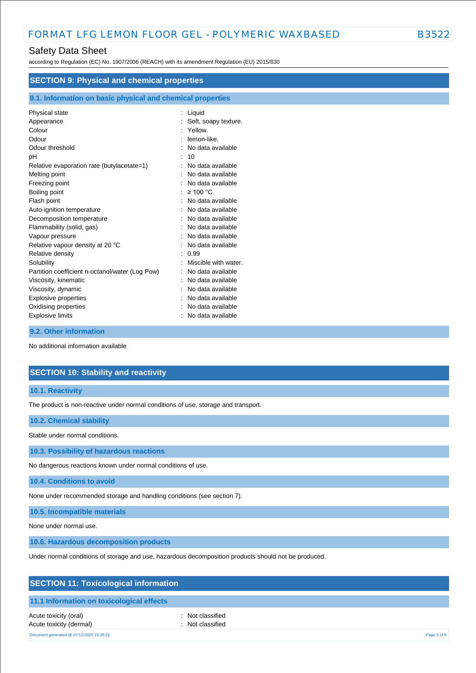according to Regulation (EC) No. 1907/2006 (REACH) with its amendment Regulation (EU) 2015/830

| <b>SECTION 9: Physical and chemical properties</b>         |                      |  |
|------------------------------------------------------------|----------------------|--|
| 9.1. Information on basic physical and chemical properties |                      |  |
| Physical state                                             | : Liquid             |  |
| Appearance                                                 | Soft, soapy texture. |  |
| Colour                                                     | Yellow.              |  |
| Odour                                                      | lemon-like.          |  |
| Odour threshold                                            | No data available    |  |
| рH                                                         | 10                   |  |
| Relative evaporation rate (butylacetate=1)                 | No data available    |  |
| Melting point                                              | No data available    |  |
| Freezing point                                             | No data available    |  |
| Boiling point                                              | $\geq 100$ °C        |  |
| Flash point                                                | No data available    |  |
| Auto-ignition temperature                                  | No data available    |  |
| Decomposition temperature                                  | No data available    |  |
| Flammability (solid, gas)                                  | No data available    |  |
| Vapour pressure                                            | No data available    |  |
| Relative vapour density at 20 °C                           | No data available    |  |
| Relative density                                           | 0.99                 |  |
| Solubility                                                 | Miscible with water. |  |
| Partition coefficient n-octanol/water (Log Pow)            | No data available    |  |
| Viscosity, kinematic                                       | No data available    |  |
| Viscosity, dynamic                                         | No data available    |  |
| <b>Explosive properties</b>                                | No data available    |  |
| Oxidising properties                                       | No data available    |  |
| <b>Explosive limits</b>                                    | No data available    |  |

#### **9.2. Other information**

No additional information available

# **SECTION 10: Stability and reactivity**

**10.1. Reactivity**

The product is non-reactive under normal conditions of use, storage and transport.

**10.2. Chemical stability**

Stable under normal conditions.

**10.3. Possibility of hazardous reactions**

No dangerous reactions known under normal conditions of use.

**10.4. Conditions to avoid**

None under recommended storage and handling conditions (see section 7).

**10.5. Incompatible materials**

None under normal use.

**10.6. Hazardous decomposition products**

Under normal conditions of storage and use, hazardous decomposition products should not be produced.

|  | <b>SECTION 11: Toxicological information</b> |
|--|----------------------------------------------|
|--|----------------------------------------------|

### **11.1 Information on toxicological effects**

Acute toxicity (oral) **interval** to the control of the control of the control of the control of the control of the control of the control of the control of the control of the control of the control of the control of the co Acute toxicity (dermal) **and in the case of the contract of the contract of the contract of the contract of the contract of the contract of the contract of the contract of the contract of the contract of the contract of th** 

Document generated @ 07/12/2020 15:28:21 Page 5 of 9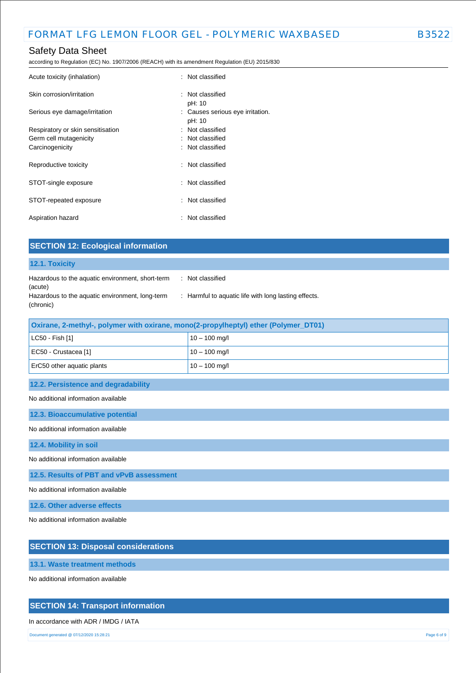according to Regulation (EC) No. 1907/2006 (REACH) with its amendment Regulation (EU) 2015/830

| Acute toxicity (inhalation)       | : Not classified                           |
|-----------------------------------|--------------------------------------------|
| Skin corrosion/irritation         | : Not classified<br>pH: 10                 |
| Serious eye damage/irritation     | : Causes serious eye irritation.<br>pH: 10 |
| Respiratory or skin sensitisation | : Not classified                           |
| Germ cell mutagenicity            | : Not classified                           |
| Carcinogenicity                   | : Not classified                           |
| Reproductive toxicity             | : Not classified                           |
| STOT-single exposure              | : Not classified                           |
| STOT-repeated exposure            | : Not classified                           |
| Aspiration hazard                 | : Not classified                           |

| <b>SECTION 12: Ecological information</b>                    |                                                      |
|--------------------------------------------------------------|------------------------------------------------------|
| 12.1. Toxicity                                               |                                                      |
| Hazardous to the aquatic environment, short-term<br>(acute)  | Not classified<br>$\mathbb{R}^n$                     |
| Hazardous to the aquatic environment, long-term<br>(chronic) | : Harmful to aquatic life with long lasting effects. |
| . .<br><b>CONTRACTOR</b><br>_______                          | $\sim$<br>$- - - - -$                                |

| Oxirane, 2-methyl-, polymer with oxirane, mono(2-propylheptyl) ether (Polymer_DT01) |                 |  |
|-------------------------------------------------------------------------------------|-----------------|--|
| $ $ LC50 - Fish [1]                                                                 | $10 - 100$ mg/l |  |
| EC50 - Crustacea [1]                                                                | $10 - 100$ mg/l |  |
| ErC50 other aguatic plants                                                          | $10 - 100$ mg/l |  |
|                                                                                     |                 |  |

**12.2. Persistence and degradability**

No additional information available

**12.3. Bioaccumulative potential**

No additional information available

**12.4. Mobility in soil**

No additional information available

**12.5. Results of PBT and vPvB assessment**

No additional information available

**12.6. Other adverse effects**

No additional information available

# **SECTION 13: Disposal considerations**

**13.1. Waste treatment methods**

No additional information available

### **SECTION 14: Transport information**

### In accordance with ADR / IMDG / IATA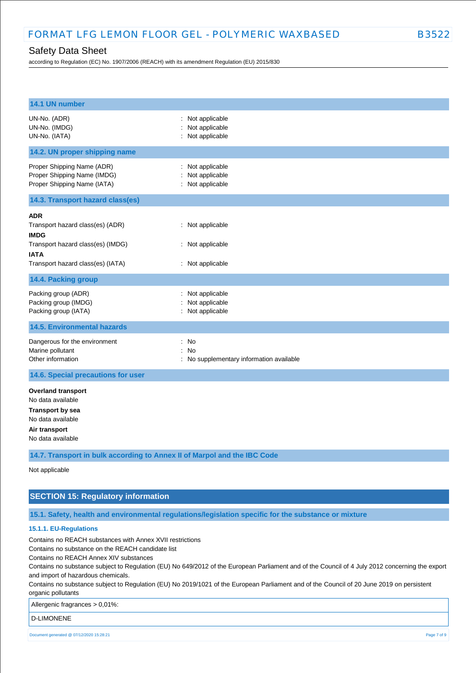according to Regulation (EC) No. 1907/2006 (REACH) with its amendment Regulation (EU) 2015/830

| 14.1 UN number                                                                                                                                         |                                                                      |  |  |
|--------------------------------------------------------------------------------------------------------------------------------------------------------|----------------------------------------------------------------------|--|--|
| UN-No. (ADR)<br>UN-No. (IMDG)<br>UN-No. (IATA)                                                                                                         | : Not applicable<br>Not applicable<br>: Not applicable               |  |  |
| 14.2. UN proper shipping name                                                                                                                          |                                                                      |  |  |
| Proper Shipping Name (ADR)<br>Proper Shipping Name (IMDG)<br>Proper Shipping Name (IATA)                                                               | Not applicable<br>$\mathbf{r}$<br>Not applicable<br>: Not applicable |  |  |
| 14.3. Transport hazard class(es)                                                                                                                       |                                                                      |  |  |
| <b>ADR</b><br>Transport hazard class(es) (ADR)<br><b>IMDG</b><br>Transport hazard class(es) (IMDG)<br><b>IATA</b><br>Transport hazard class(es) (IATA) | : Not applicable<br>: Not applicable<br>: Not applicable             |  |  |
| 14.4. Packing group                                                                                                                                    |                                                                      |  |  |
| Packing group (ADR)<br>Packing group (IMDG)<br>Packing group (IATA)                                                                                    | : Not applicable<br>Not applicable<br>: Not applicable               |  |  |
| <b>14.5. Environmental hazards</b>                                                                                                                     |                                                                      |  |  |
| Dangerous for the environment<br>Marine pollutant<br>Other information                                                                                 | : No<br>No<br>÷.<br>: No supplementary information available         |  |  |
| 14.6. Special precautions for user                                                                                                                     |                                                                      |  |  |
| <b>Overland transport</b><br>No data available<br><b>Transport by sea</b><br>No data available<br>Air transport<br>No data available                   |                                                                      |  |  |
| 14.7. Transport in bulk according to Annex II of Marpol and the IBC Code                                                                               |                                                                      |  |  |
| Not applicable                                                                                                                                         |                                                                      |  |  |

# **SECTION 15: Regulatory information**

**15.1. Safety, health and environmental regulations/legislation specific for the substance or mixture**

### **15.1.1. EU-Regulations**

Contains no REACH substances with Annex XVII restrictions

Contains no substance on the REACH candidate list

Contains no REACH Annex XIV substances

Contains no substance subject to Regulation (EU) No 649/2012 of the European Parliament and of the Council of 4 July 2012 concerning the export and import of hazardous chemicals.

Contains no substance subject to Regulation (EU) No 2019/1021 of the European Parliament and of the Council of 20 June 2019 on persistent organic pollutants

Allergenic fragrances > 0,01%:

D-LIMONENE

Document generated @ 07/12/2020 15:28:21 Page 7 of 9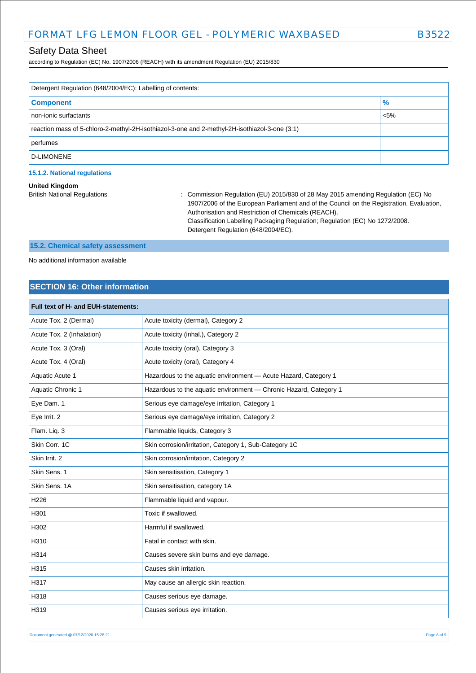according to Regulation (EC) No. 1907/2006 (REACH) with its amendment Regulation (EU) 2015/830

| Detergent Regulation (648/2004/EC): Labelling of contents:                                    |         |  |
|-----------------------------------------------------------------------------------------------|---------|--|
| <b>Component</b>                                                                              | $\%$    |  |
| non-ionic surfactants                                                                         | $< 5\%$ |  |
| reaction mass of 5-chloro-2-methyl-2H-isothiazol-3-one and 2-methyl-2H-isothiazol-3-one (3:1) |         |  |
| perfumes                                                                                      |         |  |
| D-LIMONENE                                                                                    |         |  |

### **15.1.2. National regulations**

#### **United Kingdom**

British National Regulations : Commission Regulation (EU) 2015/830 of 28 May 2015 amending Regulation (EC) No 1907/2006 of the European Parliament and of the Council on the Registration, Evaluation, Authorisation and Restriction of Chemicals (REACH). Classification Labelling Packaging Regulation; Regulation (EC) No 1272/2008. Detergent Regulation (648/2004/EC).

# **15.2. Chemical safety assessment**

No additional information available

# **SECTION 16: Other information**

| Full text of H- and EUH-statements: |                                                                   |  |  |
|-------------------------------------|-------------------------------------------------------------------|--|--|
| Acute Tox. 2 (Dermal)               | Acute toxicity (dermal), Category 2                               |  |  |
| Acute Tox. 2 (Inhalation)           | Acute toxicity (inhal.), Category 2                               |  |  |
| Acute Tox. 3 (Oral)                 | Acute toxicity (oral), Category 3                                 |  |  |
| Acute Tox. 4 (Oral)                 | Acute toxicity (oral), Category 4                                 |  |  |
| Aquatic Acute 1                     | Hazardous to the aquatic environment - Acute Hazard, Category 1   |  |  |
| Aquatic Chronic 1                   | Hazardous to the aquatic environment - Chronic Hazard, Category 1 |  |  |
| Eye Dam. 1                          | Serious eye damage/eye irritation, Category 1                     |  |  |
| Eye Irrit. 2                        | Serious eye damage/eye irritation, Category 2                     |  |  |
| Flam. Liq. 3                        | Flammable liquids, Category 3                                     |  |  |
| Skin Corr. 1C                       | Skin corrosion/irritation, Category 1, Sub-Category 1C            |  |  |
| Skin Irrit. 2                       | Skin corrosion/irritation, Category 2                             |  |  |
| Skin Sens. 1                        | Skin sensitisation, Category 1                                    |  |  |
| Skin Sens, 1A                       | Skin sensitisation, category 1A                                   |  |  |
| H <sub>226</sub>                    | Flammable liquid and vapour.                                      |  |  |
| H301                                | Toxic if swallowed.                                               |  |  |
| H302                                | Harmful if swallowed.                                             |  |  |
| H310                                | Fatal in contact with skin.                                       |  |  |
| H314                                | Causes severe skin burns and eye damage.                          |  |  |
| H315                                | Causes skin irritation.                                           |  |  |
| H317                                | May cause an allergic skin reaction.                              |  |  |
| H318                                | Causes serious eye damage.                                        |  |  |
| H319                                | Causes serious eye irritation.                                    |  |  |